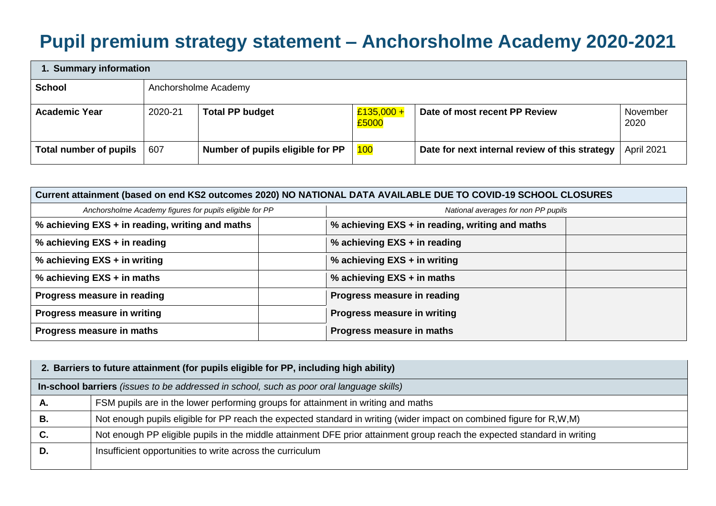## **Pupil premium strategy statement – Anchorsholme Academy 2020-2021**

| 1. Summary information        |         |                                  |                       |                                                |                  |  |
|-------------------------------|---------|----------------------------------|-----------------------|------------------------------------------------|------------------|--|
| <b>School</b>                 |         | Anchorsholme Academy             |                       |                                                |                  |  |
| <b>Academic Year</b>          | 2020-21 | <b>Total PP budget</b>           | $£135,000 +$<br>£5000 | Date of most recent PP Review                  | November<br>2020 |  |
| <b>Total number of pupils</b> | 607     | Number of pupils eligible for PP | <b>100</b>            | Date for next internal review of this strategy | April 2021       |  |

| Current attainment (based on end KS2 outcomes 2020) NO NATIONAL DATA AVAILABLE DUE TO COVID-19 SCHOOL CLOSURES |                                                 |  |  |
|----------------------------------------------------------------------------------------------------------------|-------------------------------------------------|--|--|
| Anchorsholme Academy figures for pupils eligible for PP                                                        | National averages for non PP pupils             |  |  |
| % achieving EXS + in reading, writing and maths                                                                | % achieving EXS + in reading, writing and maths |  |  |
| % achieving EXS + in reading                                                                                   | % achieving EXS + in reading                    |  |  |
| % achieving EXS + in writing                                                                                   | % achieving EXS + in writing                    |  |  |
| % achieving EXS + in maths                                                                                     | % achieving EXS + in maths                      |  |  |
| Progress measure in reading                                                                                    | Progress measure in reading                     |  |  |
| Progress measure in writing                                                                                    | Progress measure in writing                     |  |  |
| Progress measure in maths                                                                                      | Progress measure in maths                       |  |  |

|    | 2. Barriers to future attainment (for pupils eligible for PP, including high ability)                                    |  |  |  |
|----|--------------------------------------------------------------------------------------------------------------------------|--|--|--|
|    | In-school barriers (issues to be addressed in school, such as poor oral language skills)                                 |  |  |  |
| А. | FSM pupils are in the lower performing groups for attainment in writing and maths                                        |  |  |  |
| В. | Not enough pupils eligible for PP reach the expected standard in writing (wider impact on combined figure for R,W,M)     |  |  |  |
| C. | Not enough PP eligible pupils in the middle attainment DFE prior attainment group reach the expected standard in writing |  |  |  |
| D. | Insufficient opportunities to write across the curriculum                                                                |  |  |  |
|    |                                                                                                                          |  |  |  |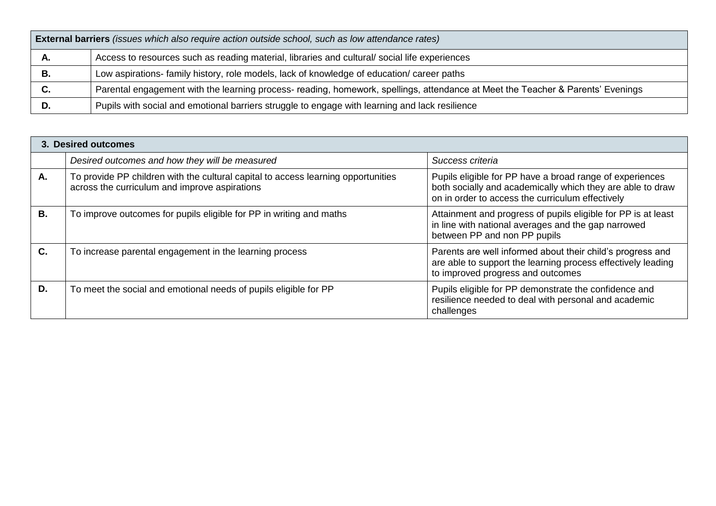| <b>External barriers</b> (issues which also require action outside school, such as low attendance rates) |                                                                                                                                 |  |  |  |
|----------------------------------------------------------------------------------------------------------|---------------------------------------------------------------------------------------------------------------------------------|--|--|--|
| Α.                                                                                                       | Access to resources such as reading material, libraries and cultural/social life experiences                                    |  |  |  |
| В.                                                                                                       | Low aspirations- family history, role models, lack of knowledge of education/ career paths                                      |  |  |  |
| C.                                                                                                       | Parental engagement with the learning process- reading, homework, spellings, attendance at Meet the Teacher & Parents' Evenings |  |  |  |
| D.                                                                                                       | Pupils with social and emotional barriers struggle to engage with learning and lack resilience                                  |  |  |  |

|                | 3. Desired outcomes                                                                                                                |                                                                                                                                                                            |
|----------------|------------------------------------------------------------------------------------------------------------------------------------|----------------------------------------------------------------------------------------------------------------------------------------------------------------------------|
|                | Desired outcomes and how they will be measured                                                                                     | Success criteria                                                                                                                                                           |
| А.             | To provide PP children with the cultural capital to access learning opportunities<br>across the curriculum and improve aspirations | Pupils eligible for PP have a broad range of experiences<br>both socially and academically which they are able to draw<br>on in order to access the curriculum effectively |
| В.             | To improve outcomes for pupils eligible for PP in writing and maths                                                                | Attainment and progress of pupils eligible for PP is at least<br>in line with national averages and the gap narrowed<br>between PP and non PP pupils                       |
| $\mathbf{C}$ . | To increase parental engagement in the learning process                                                                            | Parents are well informed about their child's progress and<br>are able to support the learning process effectively leading<br>to improved progress and outcomes            |
| D.             | To meet the social and emotional needs of pupils eligible for PP                                                                   | Pupils eligible for PP demonstrate the confidence and<br>resilience needed to deal with personal and academic<br>challenges                                                |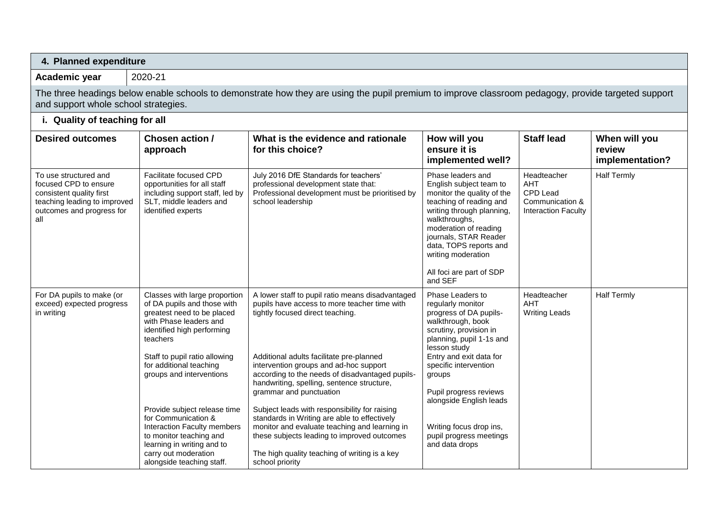| 4. Planned expenditure                                                                                                                         |                                                                                                                                                                                                                                                                                                                                                                                                                                                            |                                                                                                                                                                                                                                                                                                                                                                                                                                                                                                                                                                                                                             |                                                                                                                                                                                                                                                                                                                                                       |                                                                                               |                                            |
|------------------------------------------------------------------------------------------------------------------------------------------------|------------------------------------------------------------------------------------------------------------------------------------------------------------------------------------------------------------------------------------------------------------------------------------------------------------------------------------------------------------------------------------------------------------------------------------------------------------|-----------------------------------------------------------------------------------------------------------------------------------------------------------------------------------------------------------------------------------------------------------------------------------------------------------------------------------------------------------------------------------------------------------------------------------------------------------------------------------------------------------------------------------------------------------------------------------------------------------------------------|-------------------------------------------------------------------------------------------------------------------------------------------------------------------------------------------------------------------------------------------------------------------------------------------------------------------------------------------------------|-----------------------------------------------------------------------------------------------|--------------------------------------------|
| Academic year                                                                                                                                  | 2020-21                                                                                                                                                                                                                                                                                                                                                                                                                                                    |                                                                                                                                                                                                                                                                                                                                                                                                                                                                                                                                                                                                                             |                                                                                                                                                                                                                                                                                                                                                       |                                                                                               |                                            |
| and support whole school strategies.                                                                                                           |                                                                                                                                                                                                                                                                                                                                                                                                                                                            | The three headings below enable schools to demonstrate how they are using the pupil premium to improve classroom pedagogy, provide targeted support                                                                                                                                                                                                                                                                                                                                                                                                                                                                         |                                                                                                                                                                                                                                                                                                                                                       |                                                                                               |                                            |
| i. Quality of teaching for all                                                                                                                 |                                                                                                                                                                                                                                                                                                                                                                                                                                                            |                                                                                                                                                                                                                                                                                                                                                                                                                                                                                                                                                                                                                             |                                                                                                                                                                                                                                                                                                                                                       |                                                                                               |                                            |
| <b>Desired outcomes</b>                                                                                                                        | Chosen action /<br>approach                                                                                                                                                                                                                                                                                                                                                                                                                                | What is the evidence and rationale<br>for this choice?                                                                                                                                                                                                                                                                                                                                                                                                                                                                                                                                                                      | How will you<br>ensure it is<br>implemented well?                                                                                                                                                                                                                                                                                                     | <b>Staff lead</b>                                                                             | When will you<br>review<br>implementation? |
| To use structured and<br>focused CPD to ensure<br>consistent quality first<br>teaching leading to improved<br>outcomes and progress for<br>all | Facilitate focused CPD<br>opportunities for all staff<br>including support staff, led by<br>SLT, middle leaders and<br>identified experts                                                                                                                                                                                                                                                                                                                  | July 2016 DfE Standards for teachers'<br>professional development state that:<br>Professional development must be prioritised by<br>school leadership                                                                                                                                                                                                                                                                                                                                                                                                                                                                       | Phase leaders and<br>English subject team to<br>monitor the quality of the<br>teaching of reading and<br>writing through planning,<br>walkthroughs,<br>moderation of reading<br>journals, STAR Reader<br>data, TOPS reports and<br>writing moderation<br>All foci are part of SDP<br>and SEF                                                          | Headteacher<br><b>AHT</b><br><b>CPD Lead</b><br>Communication &<br><b>Interaction Faculty</b> | <b>Half Termly</b>                         |
| For DA pupils to make (or<br>exceed) expected progress<br>in writing                                                                           | Classes with large proportion<br>of DA pupils and those with<br>greatest need to be placed<br>with Phase leaders and<br>identified high performing<br>teachers<br>Staff to pupil ratio allowing<br>for additional teaching<br>groups and interventions<br>Provide subject release time<br>for Communication &<br>Interaction Faculty members<br>to monitor teaching and<br>learning in writing and to<br>carry out moderation<br>alongside teaching staff. | A lower staff to pupil ratio means disadvantaged<br>pupils have access to more teacher time with<br>tightly focused direct teaching.<br>Additional adults facilitate pre-planned<br>intervention groups and ad-hoc support<br>according to the needs of disadvantaged pupils-<br>handwriting, spelling, sentence structure,<br>grammar and punctuation<br>Subject leads with responsibility for raising<br>standards in Writing are able to effectively<br>monitor and evaluate teaching and learning in<br>these subjects leading to improved outcomes<br>The high quality teaching of writing is a key<br>school priority | Phase Leaders to<br>regularly monitor<br>progress of DA pupils-<br>walkthrough, book<br>scrutiny, provision in<br>planning, pupil 1-1s and<br>lesson study<br>Entry and exit data for<br>specific intervention<br>groups<br>Pupil progress reviews<br>alongside English leads<br>Writing focus drop ins,<br>pupil progress meetings<br>and data drops | Headteacher<br>AHT<br><b>Writing Leads</b>                                                    | <b>Half Termly</b>                         |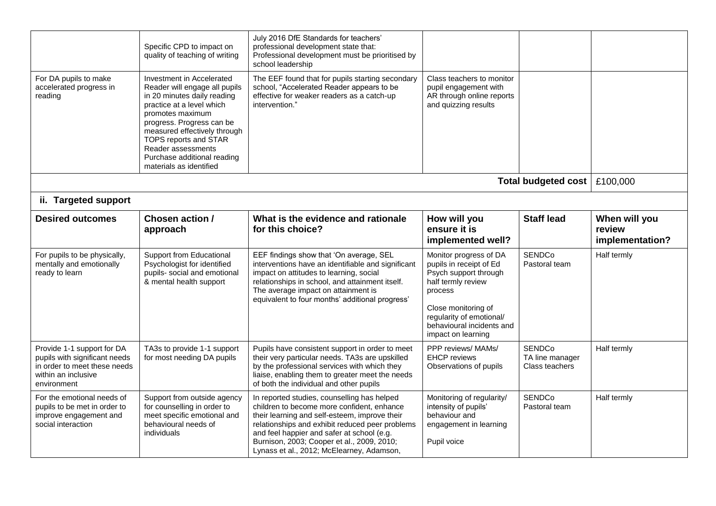|                                                                                                                                   | Specific CPD to impact on<br>quality of teaching of writing                                                                                                                                                                                                                                                      | July 2016 DfE Standards for teachers'<br>professional development state that:<br>Professional development must be prioritised by<br>school leadership                                                                                                                                                                                  |                                                                                                                                                                                                                   |                                                    |                                            |
|-----------------------------------------------------------------------------------------------------------------------------------|------------------------------------------------------------------------------------------------------------------------------------------------------------------------------------------------------------------------------------------------------------------------------------------------------------------|----------------------------------------------------------------------------------------------------------------------------------------------------------------------------------------------------------------------------------------------------------------------------------------------------------------------------------------|-------------------------------------------------------------------------------------------------------------------------------------------------------------------------------------------------------------------|----------------------------------------------------|--------------------------------------------|
| For DA pupils to make<br>accelerated progress in<br>reading                                                                       | Investment in Accelerated<br>Reader will engage all pupils<br>in 20 minutes daily reading<br>practice at a level which<br>promotes maximum<br>progress. Progress can be<br>measured effectively through<br>TOPS reports and STAR<br>Reader assessments<br>Purchase additional reading<br>materials as identified | The EEF found that for pupils starting secondary<br>school, "Accelerated Reader appears to be<br>effective for weaker readers as a catch-up<br>intervention."                                                                                                                                                                          | Class teachers to monitor<br>pupil engagement with<br>AR through online reports<br>and quizzing results                                                                                                           |                                                    |                                            |
|                                                                                                                                   |                                                                                                                                                                                                                                                                                                                  |                                                                                                                                                                                                                                                                                                                                        |                                                                                                                                                                                                                   | <b>Total budgeted cost</b>                         | £100,000                                   |
| ii. Targeted support                                                                                                              |                                                                                                                                                                                                                                                                                                                  |                                                                                                                                                                                                                                                                                                                                        |                                                                                                                                                                                                                   |                                                    |                                            |
| <b>Desired outcomes</b>                                                                                                           | Chosen action /<br>approach                                                                                                                                                                                                                                                                                      | What is the evidence and rationale<br>for this choice?                                                                                                                                                                                                                                                                                 | How will you<br>ensure it is<br>implemented well?                                                                                                                                                                 | <b>Staff lead</b>                                  | When will you<br>review<br>implementation? |
| For pupils to be physically,<br>mentally and emotionally<br>ready to learn                                                        | Support from Educational<br>Psychologist for identified<br>pupils- social and emotional<br>& mental health support                                                                                                                                                                                               | EEF findings show that 'On average, SEL<br>interventions have an identifiable and significant<br>impact on attitudes to learning, social<br>relationships in school, and attainment itself.<br>The average impact on attainment is<br>equivalent to four months' additional progress'                                                  | Monitor progress of DA<br>pupils in receipt of Ed<br>Psych support through<br>half termly review<br>process<br>Close monitoring of<br>regularity of emotional/<br>behavioural incidents and<br>impact on learning | <b>SENDCo</b><br>Pastoral team                     | Half termly                                |
| Provide 1-1 support for DA<br>pupils with significant needs<br>in order to meet these needs<br>within an inclusive<br>environment | TA3s to provide 1-1 support<br>for most needing DA pupils                                                                                                                                                                                                                                                        | Pupils have consistent support in order to meet<br>their very particular needs. TA3s are upskilled<br>by the professional services with which they<br>liaise, enabling them to greater meet the needs<br>of both the individual and other pupils                                                                                       | PPP reviews/ MAMs/<br><b>EHCP</b> reviews<br>Observations of pupils                                                                                                                                               | <b>SENDCo</b><br>TA line manager<br>Class teachers | Half termly                                |
| For the emotional needs of<br>pupils to be met in order to<br>improve engagement and<br>social interaction                        | Support from outside agency<br>for counselling in order to<br>meet specific emotional and<br>behavioural needs of<br>individuals                                                                                                                                                                                 | In reported studies, counselling has helped<br>children to become more confident, enhance<br>their learning and self-esteem, improve their<br>relationships and exhibit reduced peer problems<br>and feel happier and safer at school (e.g.<br>Burnison, 2003; Cooper et al., 2009, 2010;<br>Lynass et al., 2012; McElearney, Adamson, | Monitoring of regularity/<br>intensity of pupils'<br>behaviour and<br>engagement in learning<br>Pupil voice                                                                                                       | <b>SENDCo</b><br>Pastoral team                     | Half termly                                |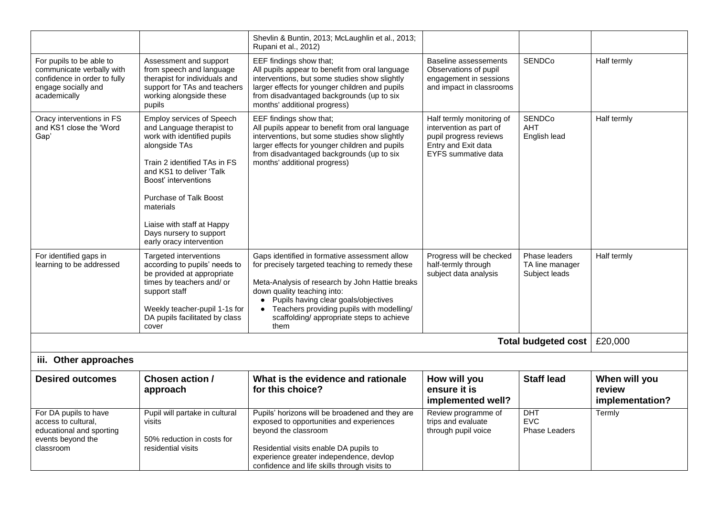|                                                                                                                              |                                                                                                                                                                                                                                                                                                                        | Shevlin & Buntin, 2013; McLaughlin et al., 2013;<br>Rupani et al., 2012)                                                                                                                                                                                                                                                                               |                                                                                                                                     |                                                   |                                            |
|------------------------------------------------------------------------------------------------------------------------------|------------------------------------------------------------------------------------------------------------------------------------------------------------------------------------------------------------------------------------------------------------------------------------------------------------------------|--------------------------------------------------------------------------------------------------------------------------------------------------------------------------------------------------------------------------------------------------------------------------------------------------------------------------------------------------------|-------------------------------------------------------------------------------------------------------------------------------------|---------------------------------------------------|--------------------------------------------|
| For pupils to be able to<br>communicate verbally with<br>confidence in order to fully<br>engage socially and<br>academically | Assessment and support<br>from speech and language<br>therapist for individuals and<br>support for TAs and teachers<br>working alongside these<br>pupils                                                                                                                                                               | EEF findings show that;<br>All pupils appear to benefit from oral language<br>interventions, but some studies show slightly<br>larger effects for younger children and pupils<br>from disadvantaged backgrounds (up to six<br>months' additional progress)                                                                                             | Baseline assessements<br>Observations of pupil<br>engagement in sessions<br>and impact in classrooms                                | <b>SENDCo</b>                                     | Half termly                                |
| Oracy interventions in FS<br>and KS1 close the 'Word<br>Gap'                                                                 | Employ services of Speech<br>and Language therapist to<br>work with identified pupils<br>alongside TAs<br>Train 2 identified TAs in FS<br>and KS1 to deliver 'Talk<br>Boost' interventions<br>Purchase of Talk Boost<br>materials<br>Liaise with staff at Happy<br>Days nursery to support<br>early oracy intervention | EEF findings show that;<br>All pupils appear to benefit from oral language<br>interventions, but some studies show slightly<br>larger effects for younger children and pupils<br>from disadvantaged backgrounds (up to six<br>months' additional progress)                                                                                             | Half termly monitoring of<br>intervention as part of<br>pupil progress reviews<br>Entry and Exit data<br><b>EYFS</b> summative data | <b>SENDCo</b><br><b>AHT</b><br>English lead       | Half termly                                |
| For identified gaps in<br>learning to be addressed                                                                           | Targeted interventions<br>according to pupils' needs to<br>be provided at appropriate<br>times by teachers and/ or<br>support staff<br>Weekly teacher-pupil 1-1s for<br>DA pupils facilitated by class<br>cover                                                                                                        | Gaps identified in formative assessment allow<br>for precisely targeted teaching to remedy these<br>Meta-Analysis of research by John Hattie breaks<br>down quality teaching into:<br>Pupils having clear goals/objectives<br>$\bullet$<br>Teachers providing pupils with modelling/<br>$\bullet$<br>scaffolding/ appropriate steps to achieve<br>them | Progress will be checked<br>half-termly through<br>subject data analysis                                                            | Phase leaders<br>TA line manager<br>Subject leads | Half termly                                |
|                                                                                                                              |                                                                                                                                                                                                                                                                                                                        |                                                                                                                                                                                                                                                                                                                                                        |                                                                                                                                     | Total budgeted cost                               | £20,000                                    |
| iii. Other approaches                                                                                                        |                                                                                                                                                                                                                                                                                                                        |                                                                                                                                                                                                                                                                                                                                                        |                                                                                                                                     |                                                   |                                            |
| <b>Desired outcomes</b>                                                                                                      | Chosen action /<br>approach                                                                                                                                                                                                                                                                                            | What is the evidence and rationale<br>for this choice?                                                                                                                                                                                                                                                                                                 | How will you<br>ensure it is<br>implemented well?                                                                                   | <b>Staff lead</b>                                 | When will you<br>review<br>implementation? |
| For DA pupils to have<br>access to cultural,<br>educational and sporting<br>events beyond the<br>classroom                   | Pupil will partake in cultural<br>visits<br>50% reduction in costs for<br>residential visits                                                                                                                                                                                                                           | Pupils' horizons will be broadened and they are<br>exposed to opportunities and experiences<br>beyond the classroom<br>Residential visits enable DA pupils to<br>experience greater independence, devlop<br>confidence and life skills through visits to                                                                                               | Review programme of<br>trips and evaluate<br>through pupil voice                                                                    | DHT<br><b>EVC</b><br><b>Phase Leaders</b>         | Termly                                     |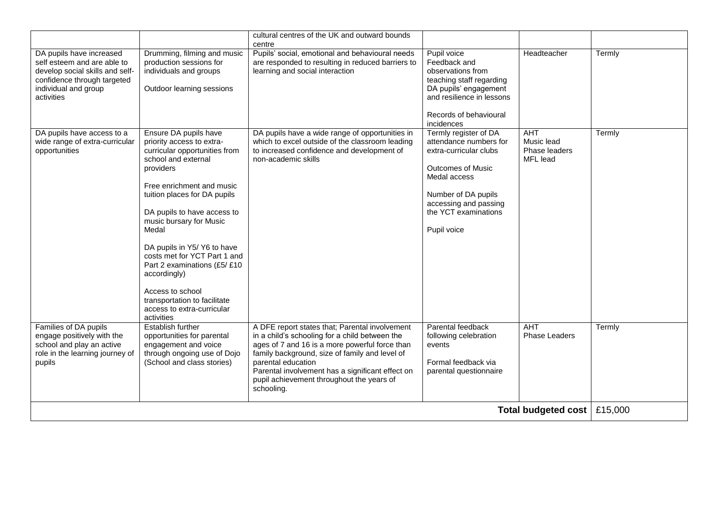|                                                                                                                                                                 |                                                                                                                                                                                                                                                                                                                                                                                                                                                                        | cultural centres of the UK and outward bounds<br>centre                                                                                                                                                                                                                                                                                   |                                                                                                                                                                                                              |                                                       |        |
|-----------------------------------------------------------------------------------------------------------------------------------------------------------------|------------------------------------------------------------------------------------------------------------------------------------------------------------------------------------------------------------------------------------------------------------------------------------------------------------------------------------------------------------------------------------------------------------------------------------------------------------------------|-------------------------------------------------------------------------------------------------------------------------------------------------------------------------------------------------------------------------------------------------------------------------------------------------------------------------------------------|--------------------------------------------------------------------------------------------------------------------------------------------------------------------------------------------------------------|-------------------------------------------------------|--------|
| DA pupils have increased<br>self esteem and are able to<br>develop social skills and self-<br>confidence through targeted<br>individual and group<br>activities | Drumming, filming and music<br>production sessions for<br>individuals and groups<br>Outdoor learning sessions                                                                                                                                                                                                                                                                                                                                                          | Pupils' social, emotional and behavioural needs<br>are responded to resulting in reduced barriers to<br>learning and social interaction                                                                                                                                                                                                   | Pupil voice<br>Feedback and<br>observations from<br>teaching staff regarding<br>DA pupils' engagement<br>and resilience in lessons<br>Records of behavioural<br>incidences                                   | Headteacher                                           | Termly |
| DA pupils have access to a<br>wide range of extra-curricular<br>opportunities                                                                                   | Ensure DA pupils have<br>priority access to extra-<br>curricular opportunities from<br>school and external<br>providers<br>Free enrichment and music<br>tuition places for DA pupils<br>DA pupils to have access to<br>music bursary for Music<br>Medal<br>DA pupils in Y5/ Y6 to have<br>costs met for YCT Part 1 and<br>Part 2 examinations (£5/ £10<br>accordingly)<br>Access to school<br>transportation to facilitate<br>access to extra-curricular<br>activities | DA pupils have a wide range of opportunities in<br>which to excel outside of the classroom leading<br>to increased confidence and development of<br>non-academic skills                                                                                                                                                                   | Termly register of DA<br>attendance numbers for<br>extra-curricular clubs<br><b>Outcomes of Music</b><br>Medal access<br>Number of DA pupils<br>accessing and passing<br>the YCT examinations<br>Pupil voice | <b>AHT</b><br>Music lead<br>Phase leaders<br>MFL lead | Termly |
| Families of DA pupils<br>engage positively with the<br>school and play an active<br>role in the learning journey of<br>pupils                                   | <b>Establish further</b><br>opportunities for parental<br>engagement and voice<br>through ongoing use of Dojo<br>(School and class stories)                                                                                                                                                                                                                                                                                                                            | A DFE report states that; Parental involvement<br>in a child's schooling for a child between the<br>ages of 7 and 16 is a more powerful force than<br>family background, size of family and level of<br>parental education<br>Parental involvement has a significant effect on<br>pupil achievement throughout the years of<br>schooling. | Parental feedback<br>following celebration<br>events<br>Formal feedback via<br>parental questionnaire                                                                                                        | <b>AHT</b><br><b>Phase Leaders</b>                    | Termly |
|                                                                                                                                                                 |                                                                                                                                                                                                                                                                                                                                                                                                                                                                        |                                                                                                                                                                                                                                                                                                                                           |                                                                                                                                                                                                              | Total budgeted cost   £15,000                         |        |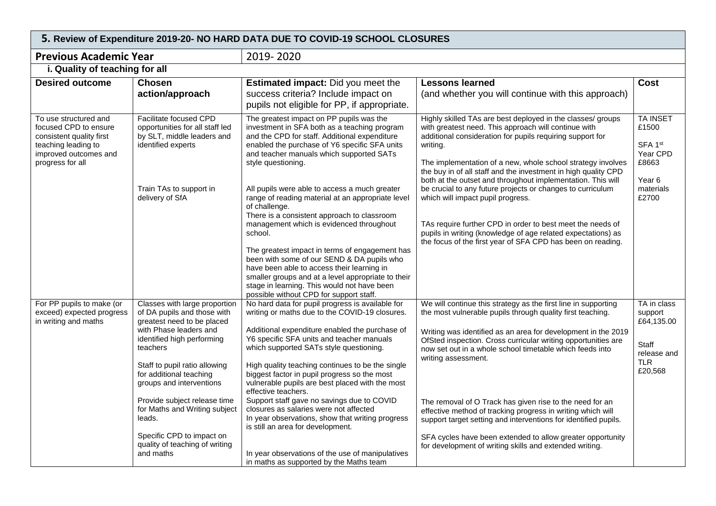| <b>Previous Academic Year</b>                                                                                                                  |                                                                                                                                                                                                                                                        | 2019-2020                                                                                                                                                                                                                                                                                                                                                                                                                                                              |                                                                                                                                                                                                                                                                                                                                                                                                                                                            |                                                                                       |
|------------------------------------------------------------------------------------------------------------------------------------------------|--------------------------------------------------------------------------------------------------------------------------------------------------------------------------------------------------------------------------------------------------------|------------------------------------------------------------------------------------------------------------------------------------------------------------------------------------------------------------------------------------------------------------------------------------------------------------------------------------------------------------------------------------------------------------------------------------------------------------------------|------------------------------------------------------------------------------------------------------------------------------------------------------------------------------------------------------------------------------------------------------------------------------------------------------------------------------------------------------------------------------------------------------------------------------------------------------------|---------------------------------------------------------------------------------------|
| i. Quality of teaching for all                                                                                                                 |                                                                                                                                                                                                                                                        |                                                                                                                                                                                                                                                                                                                                                                                                                                                                        |                                                                                                                                                                                                                                                                                                                                                                                                                                                            |                                                                                       |
| <b>Desired outcome</b>                                                                                                                         | <b>Chosen</b><br>action/approach                                                                                                                                                                                                                       | <b>Estimated impact:</b> Did you meet the<br>success criteria? Include impact on<br>pupils not eligible for PP, if appropriate.                                                                                                                                                                                                                                                                                                                                        | <b>Lessons learned</b><br>(and whether you will continue with this approach)                                                                                                                                                                                                                                                                                                                                                                               | Cost                                                                                  |
| To use structured and<br>focused CPD to ensure<br>consistent quality first<br>teaching leading to<br>improved outcomes and<br>progress for all | <b>Facilitate focused CPD</b><br>opportunities for all staff led<br>by SLT, middle leaders and<br>identified experts<br>Train TAs to support in                                                                                                        | The greatest impact on PP pupils was the<br>investment in SFA both as a teaching program<br>and the CPD for staff. Additional expenditure<br>enabled the purchase of Y6 specific SFA units<br>and teacher manuals which supported SATs<br>style questioning.<br>All pupils were able to access a much greater                                                                                                                                                          | Highly skilled TAs are best deployed in the classes/ groups<br>with greatest need. This approach will continue with<br>additional consideration for pupils requiring support for<br>writing.<br>The implementation of a new, whole school strategy involves<br>the buy in of all staff and the investment in high quality CPD<br>both at the outset and throughout implementation. This will<br>be crucial to any future projects or changes to curriculum | <b>TA INSET</b><br>£1500<br>SFA 1st<br>Year CPD<br>£8663<br>Year 6<br>materials       |
|                                                                                                                                                | delivery of SfA                                                                                                                                                                                                                                        | range of reading material at an appropriate level<br>of challenge.<br>There is a consistent approach to classroom<br>management which is evidenced throughout<br>school.<br>The greatest impact in terms of engagement has<br>been with some of our SEND & DA pupils who<br>have been able to access their learning in<br>smaller groups and at a level appropriate to their<br>stage in learning. This would not have been<br>possible without CPD for support staff. | which will impact pupil progress.<br>TAs require further CPD in order to best meet the needs of<br>pupils in writing (knowledge of age related expectations) as<br>the focus of the first year of SFA CPD has been on reading.                                                                                                                                                                                                                             | £2700                                                                                 |
| For PP pupils to make (or<br>exceed) expected progress<br>in writing and maths                                                                 | Classes with large proportion<br>of DA pupils and those with<br>greatest need to be placed<br>with Phase leaders and<br>identified high performing<br>teachers<br>Staff to pupil ratio allowing<br>for additional teaching<br>groups and interventions | No hard data for pupil progress is available for<br>writing or maths due to the COVID-19 closures.<br>Additional expenditure enabled the purchase of<br>Y6 specific SFA units and teacher manuals<br>which supported SATs style questioning.<br>High quality teaching continues to be the single<br>biggest factor in pupil progress so the most<br>vulnerable pupils are best placed with the most<br>effective teachers.                                             | We will continue this strategy as the first line in supporting<br>the most vulnerable pupils through quality first teaching.<br>Writing was identified as an area for development in the 2019<br>OfSted inspection. Cross curricular writing opportunities are<br>now set out in a whole school timetable which feeds into<br>writing assessment.                                                                                                          | TA in class<br>support<br>£64,135.00<br>Staff<br>release and<br><b>TLR</b><br>£20,568 |
|                                                                                                                                                | Provide subject release time<br>for Maths and Writing subject<br>leads.<br>Specific CPD to impact on<br>quality of teaching of writing<br>and maths                                                                                                    | Support staff gave no savings due to COVID<br>closures as salaries were not affected<br>In year observations, show that writing progress<br>is still an area for development.<br>In year observations of the use of manipulatives<br>in maths as supported by the Maths team                                                                                                                                                                                           | The removal of O Track has given rise to the need for an<br>effective method of tracking progress in writing which will<br>support target setting and interventions for identified pupils.<br>SFA cycles have been extended to allow greater opportunity<br>for development of writing skills and extended writing.                                                                                                                                        |                                                                                       |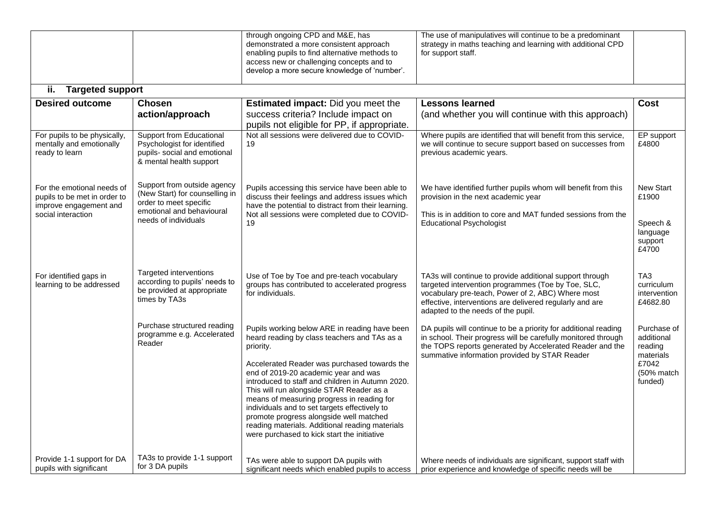|                                                                                                            |                                                                                                                                              | through ongoing CPD and M&E, has<br>demonstrated a more consistent approach<br>enabling pupils to find alternative methods to<br>access new or challenging concepts and to<br>develop a more secure knowledge of 'number'.                                                                                                                                                                                                                                                                                                                     | The use of manipulatives will continue to be a predominant<br>strategy in maths teaching and learning with additional CPD<br>for support staff.                                                                                                                       |                                                                                     |
|------------------------------------------------------------------------------------------------------------|----------------------------------------------------------------------------------------------------------------------------------------------|------------------------------------------------------------------------------------------------------------------------------------------------------------------------------------------------------------------------------------------------------------------------------------------------------------------------------------------------------------------------------------------------------------------------------------------------------------------------------------------------------------------------------------------------|-----------------------------------------------------------------------------------------------------------------------------------------------------------------------------------------------------------------------------------------------------------------------|-------------------------------------------------------------------------------------|
| <b>Targeted support</b><br>ii.                                                                             |                                                                                                                                              |                                                                                                                                                                                                                                                                                                                                                                                                                                                                                                                                                |                                                                                                                                                                                                                                                                       |                                                                                     |
| <b>Desired outcome</b>                                                                                     | <b>Chosen</b><br>action/approach                                                                                                             | <b>Estimated impact:</b> Did you meet the<br>success criteria? Include impact on<br>pupils not eligible for PP, if appropriate.                                                                                                                                                                                                                                                                                                                                                                                                                | <b>Lessons learned</b><br>(and whether you will continue with this approach)                                                                                                                                                                                          | Cost                                                                                |
| For pupils to be physically,<br>mentally and emotionally<br>ready to learn                                 | Support from Educational<br>Psychologist for identified<br>pupils- social and emotional<br>& mental health support                           | Not all sessions were delivered due to COVID-<br>19                                                                                                                                                                                                                                                                                                                                                                                                                                                                                            | Where pupils are identified that will benefit from this service,<br>we will continue to secure support based on successes from<br>previous academic years.                                                                                                            | EP support<br>£4800                                                                 |
| For the emotional needs of<br>pupils to be met in order to<br>improve engagement and<br>social interaction | Support from outside agency<br>(New Start) for counselling in<br>order to meet specific<br>emotional and behavioural<br>needs of individuals | Pupils accessing this service have been able to<br>discuss their feelings and address issues which<br>have the potential to distract from their learning.<br>Not all sessions were completed due to COVID-<br>19                                                                                                                                                                                                                                                                                                                               | We have identified further pupils whom will benefit from this<br>provision in the next academic year<br>This is in addition to core and MAT funded sessions from the<br><b>Educational Psychologist</b>                                                               | <b>New Start</b><br>£1900<br>Speech &<br>language<br>support<br>£4700               |
| For identified gaps in<br>learning to be addressed                                                         | Targeted interventions<br>according to pupils' needs to<br>be provided at appropriate<br>times by TA3s                                       | Use of Toe by Toe and pre-teach vocabulary<br>groups has contributed to accelerated progress<br>for individuals.                                                                                                                                                                                                                                                                                                                                                                                                                               | TA3s will continue to provide additional support through<br>targeted intervention programmes (Toe by Toe, SLC,<br>vocabulary pre-teach, Power of 2, ABC) Where most<br>effective, interventions are delivered regularly and are<br>adapted to the needs of the pupil. | TA <sub>3</sub><br>curriculum<br>intervention<br>£4682.80                           |
|                                                                                                            | Purchase structured reading<br>programme e.g. Accelerated<br>Reader                                                                          | Pupils working below ARE in reading have been<br>heard reading by class teachers and TAs as a<br>priority.<br>Accelerated Reader was purchased towards the<br>end of 2019-20 academic year and was<br>introduced to staff and children in Autumn 2020.<br>This will run alongside STAR Reader as a<br>means of measuring progress in reading for<br>individuals and to set targets effectively to<br>promote progress alongside well matched<br>reading materials. Additional reading materials<br>were purchased to kick start the initiative | DA pupils will continue to be a priority for additional reading<br>in school. Their progress will be carefully monitored through<br>the TOPS reports generated by Accelerated Reader and the<br>summative information provided by STAR Reader                         | Purchase of<br>additional<br>reading<br>materials<br>£7042<br>(50% match<br>funded) |
| Provide 1-1 support for DA<br>pupils with significant                                                      | TA3s to provide 1-1 support<br>for 3 DA pupils                                                                                               | TAs were able to support DA pupils with<br>significant needs which enabled pupils to access                                                                                                                                                                                                                                                                                                                                                                                                                                                    | Where needs of individuals are significant, support staff with<br>prior experience and knowledge of specific needs will be                                                                                                                                            |                                                                                     |